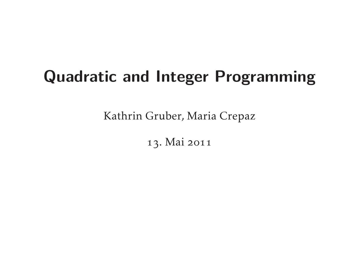# **Quadratic and Integer Programming**

Kathrin Gruber, Maria Crepaz

13. Mai 2011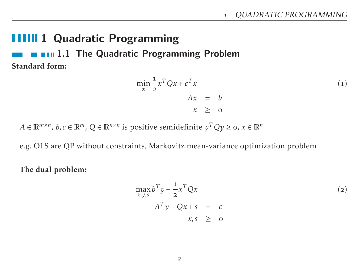### **1111 1 Quadratic Programming**

**1.1 The Quadratic Programming Problem** Standard form:

$$
\min_{x} \frac{1}{2} x^T Q x + c^T x
$$
  
\n
$$
A x = b
$$
  
\n
$$
x \ge 0
$$
\n(1)

 $A \in \mathbb{R}^{m \times n}$ ,  $b, c \in \mathbb{R}^m$ ,  $Q \in \mathbb{R}^{n \times n}$  is positive semidefinite  $y^T Q y \geq$   $\circ$ ,  $x \in \mathbb{R}^n$ 

e.g. OLS are QP without constraints, Markovitz mean-variance optimization problem

The dual problem:

$$
\max_{x,y,s} b^T y - \frac{1}{2} x^T Q x
$$
  
\n
$$
A^T y - Q x + s = c
$$
  
\n
$$
x,s \ge 0
$$
\n(2)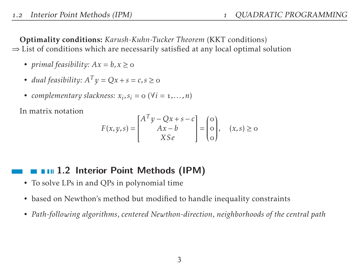Optimality conditions: *Karush-Kuhn-Tucker Theorem* (KKT conditions)  $\Rightarrow$  List of conditions which are necessarily satisfied at any local optimal solution

- *primal feasibility:*  $Ax = b, x \ge 0$
- *dual feasibility:*  $A^T y = Qx + s = c, s \ge 0$
- *complementary slackness:*  $x_i$ ,  $s_i$  =  $\text{o}$  ( $\forall i$  =  $\text{1}, \ldots, \text{n}$ )

In matrix notation

$$
F(x, y, s) = \begin{bmatrix} A^T y - Qx + s - c \\ Ax - b \\ XSe \end{bmatrix} = \begin{bmatrix} 0 \\ 0 \\ 0 \end{bmatrix}, \quad (x, s) \ge 0
$$

### **1.1.2 Interior Point Methods (IPM)**

- To solve LPs in and QPs in polynomial time
- based on Newthon's method but modified to handle inequality constraints
- *Path-following algorithms*, *centered Newthon-direction*, *neighborhoods of the central path*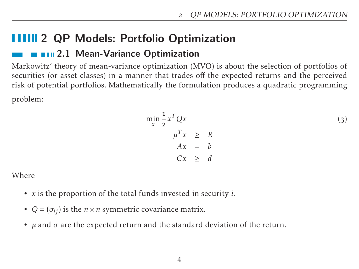## **11111 2 QP Models: Portfolio Optimization**

### **2.1 Mean-Variance Optimization**

Markowitz' theory of mean-variance optimization (MVO) is about the selection of portfolios of securities (or asset classes) in a manner that trades off the expected returns and the perceived risk of potential portfolios. Mathematically the formulation produces a quadratic programming problem:

$$
\min_{x} \frac{1}{2} x^T Q x
$$
  
\n
$$
\mu^T x \ge R
$$
  
\n
$$
A x = b
$$
  
\n
$$
C x \ge d
$$
\n(3)

Where

- *x* is the proportion of the total funds invested in security *i*.
- $Q = (\sigma_{ij})$  is the  $n \times n$  symmetric covariance matrix.
- *µ* and *σ* are the expected return and the standard deviation of the return.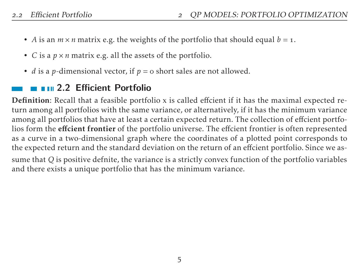- *A* is an  $m \times n$  matrix e.g. the weights of the portfolio that should equal  $b = 1$ .
- *C* is a *p* × *n* matrix e.g. all the assets of the portfolio.
- *d* is a *p*-dimensional vector, if  $p = 0$  short sales are not allowed.

### **2.2 Efficient Portfolio**

Definition: Recall that a feasible portfolio x is called effcient if it has the maximal expected return among all portfolios with the same variance, or alternatively, if it has the minimum variance among all portfolios that have at least a certain expected return. The collection of effcient portfolios form the effcient frontier of the portfolio universe. The effcient frontier is often represented as a curve in a two-dimensional graph where the coordinates of a plotted point corresponds to the expected return and the standard deviation on the return of an effcient portfolio. Since we assume that *Q* is positive defnite, the variance is a strictly convex function of the portfolio variables and there exists a unique portfolio that has the minimum variance.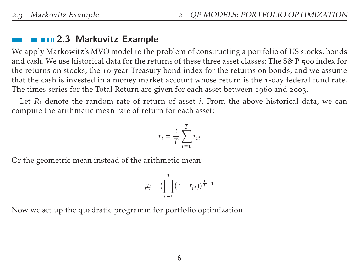### **2.3 Markovitz Example**

We apply Markowitz's MVO model to the problem of constructing a portfolio of US stocks, bonds and cash. We use historical data for the returns of these three asset classes: The S& P 500 index for the returns on stocks, the 10-year Treasury bond index for the returns on bonds, and we assume that the cash is invested in a money market account whose return is the 1-day federal fund rate. The times series for the Total Return are given for each asset between 1960 and 2003.

Let  $R_i$  denote the random rate of return of asset *i*. From the above historical data, we can compute the arithmetic mean rate of return for each asset:

$$
r_i = \frac{1}{T} \sum_{t=1}^{T} r_{it}
$$

Or the geometric mean instead of the arithmetic mean:

$$
\mu_i = \left(\prod_{t=1}^T (1 + r_{it})\right)^{\frac{1}{T} - 1}
$$

Now we set up the quadratic programm for portfolio optimization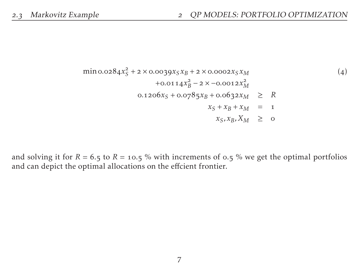$$
\begin{array}{rcl}\n\min \text{o.o284}x_{S}^{2} & +2 \times \text{o.o039}x_{S}x_{B} + 2 \times \text{o.o002}x_{S}x_{M} \\
& +\text{o.o114}x_{B}^{2} - 2 \times -\text{o.o012}x_{M}^{2} \\
& \text{o.1206}x_{S} + \text{o.0785}x_{B} + \text{o.0632}x_{M} \geq R \\
& x_{S} + x_{B} + x_{M} = 1 \\
& x_{S}, x_{B}, X_{M} \geq 0\n\end{array}
$$
\n
$$
(4)
$$

and solving it for  $R = 6.5$  to  $R = 10.5$  % with increments of 0.5 % we get the optimal portfolios and can depict the optimal allocations on the effcient frontier.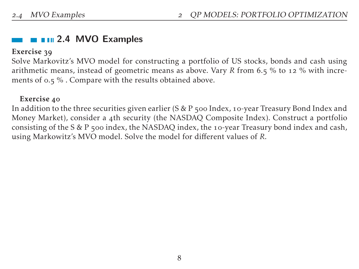### **2.4 MVO Examples**

#### Exercise 39

Solve Markovitz's MVO model for constructing a portfolio of US stocks, bonds and cash using arithmetic means, instead of geometric means as above. Vary *R* from 6.5 % to 12 % with increments of  $0.5$ %. Compare with the results obtained above.

#### Exercise 40

In addition to the three securities given earlier ( $S \& P$  500 Index, 10-year Treasury Bond Index and Money Market), consider a 4th security (the NASDAQ Composite Index). Construct a portfolio consisting of the S & P  $\pi$ 00 index, the NASDAQ index, the 10-year Treasury bond index and cash, using Markowitz's MVO model. Solve the model for different values of *R*.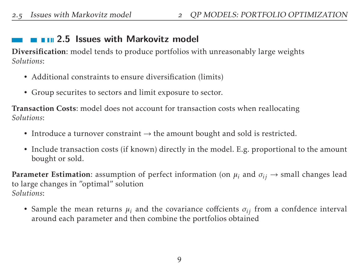### **2.5 Issues with Markovitz model**

Diversification: model tends to produce portfolios with unreasonably large weights *Solutions*:

- Additional constraints to ensure diversification (limits)
- Group securites to sectors and limit exposure to sector.

Transaction Costs: model does not account for transaction costs when reallocating *Solutions*:

- Introduce a turnover constraint  $\rightarrow$  the amount bought and sold is restricted.
- Include transaction costs (if known) directly in the model. E.g. proportional to the amount bought or sold.

**Parameter Estimation:** assumption of perfect information (on  $\mu_i$  and  $\sigma_{ij} \rightarrow$  small changes lead to large changes in "optimal" solution *Solutions*:

• Sample the mean returns  $\mu_i$  and the covariance coffcients  $\sigma_{ij}$  from a confdence interval around each parameter and then combine the portfolios obtained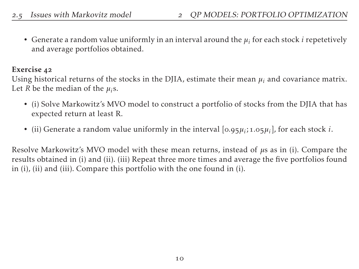• Generate a random value uniformly in an interval around the *µ<sup>i</sup>* for each stock *i* repetetively and average portfolios obtained.

#### Exercise 42

Using historical returns of the stocks in the DJIA, estimate their mean  $\mu_i$  and covariance matrix. Let *R* be the median of the  $\mu_i$ s.

- (i) Solve Markowitz's MVO model to construct a portfolio of stocks from the DJIA that has expected return at least R.
- (ii) Generate a random value uniformly in the interval  $[0.95\mu_i; 1.05\mu_i]$ , for each stock *i*.

Resolve Markowitz's MVO model with these mean returns, instead of *µ*s as in (i). Compare the results obtained in (i) and (ii). (iii) Repeat three more times and average the five portfolios found in (i), (ii) and (iii). Compare this portfolio with the one found in (i).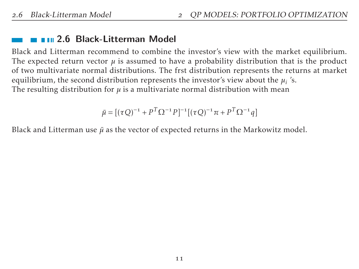### **2.6 Black-Litterman Model**

Black and Litterman recommend to combine the investor's view with the market equilibrium. The expected return vector  $\mu$  is assumed to have a probability distribution that is the product of two multivariate normal distributions. The frst distribution represents the returns at market equilibrium, the second distribution represents the investor's view about the  $\mu_i$  's. The resulting distribution for  $\mu$  is a multivariate normal distribution with mean

 $\bar{\mu} = [(\tau Q)^{-1} + P^T \Omega^{-1} P]^{-1} [(\tau Q)^{-1} \pi + P^T \Omega^{-1} q]$ 

Black and Litterman use  $\bar{\mu}$  as the vector of expected returns in the Markowitz model.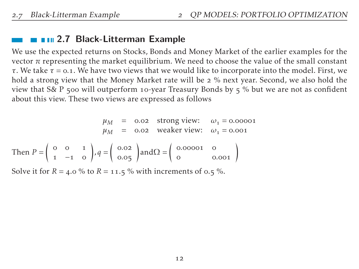### **2.7 Black-Litterman Example**

We use the expected returns on Stocks, Bonds and Money Market of the earlier examples for the vector  $\pi$  representing the market equilibrium. We need to choose the value of the small constant *τ*. We take *τ* = *.*. We have two views that we would like to incorporate into the model. First, we hold a strong view that the Money Market rate will be 2 % next year. Second, we also hold the view that S& P 500 will outperform 10-year Treasury Bonds by  $\frac{1}{5}$  % but we are not as confident about this view. These two views are expressed as follows

$$
\mu_{M} = 0.02 \text{ strong view:} \quad \omega_{1} = 0.00001
$$
\n
$$
\mu_{M} = 0.02 \text{ weaker view:} \quad \omega_{1} = 0.0001
$$
\nThen  $P = \begin{pmatrix} 0 & 0 & 1 \\ 1 & -1 & 0 \end{pmatrix}, q = \begin{pmatrix} 0.02 \\ 0.05 \end{pmatrix}$  and  $\Omega = \begin{pmatrix} 0.00001 & 0 \\ 0 & 0.001 \end{pmatrix}$ 

Solve it for  $R = 4.0$  % to  $R = 11.5$  % with increments of 0.5 %.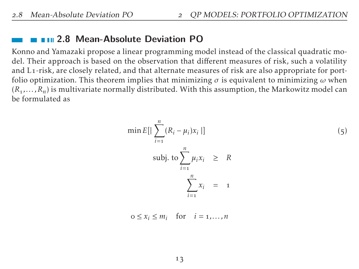#### **2.8 Mean-Absolute Deviation PO**

Konno and Yamazaki propose a linear programming model instead of the classical quadratic model. Their approach is based on the observation that different measures of risk, such a volatility and  $Li$ -risk, are closely related, and that alternate measures of risk are also appropriate for portfolio optimization. This theorem implies that minimizing  $\sigma$  is equivalent to minimizing  $\omega$  when  $(R_1,...,R_n)$  is multivariate normally distributed. With this assumption, the Markowitz model can be formulated as

$$
\min E[|\sum_{i=1}^{n} (R_i - \mu_i)x_i|]
$$
\n
$$
\text{subj. to } \sum_{i=1}^{n} \mu_i x_i \geq R
$$
\n
$$
\sum_{i=1}^{n} x_i = 1
$$
\n
$$
(5)
$$

$$
0 \le x_i \le m_i \quad \text{for} \quad i = 1, \dots, n
$$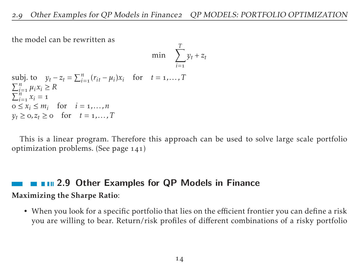the model can be rewritten as

$$
\min \quad \sum_{i=1}^T y_t + z_t
$$

```
subj. to y_t - z_t = \sum_{i=1}^n (r_{it} - \mu_i)x_i for t = 1,...,T\sum_{i=1}^{n} \mu_i x_i \geq R\sum_{i=1}^{n} x_i = 10 \le x_i \le m_i for i = 1, ..., ny_t \geq 0, z_t \geq 0 for t = 1, ..., T
```
This is a linear program. Therefore this approach can be used to solve large scale portfolio optimization problems. (See page  $141$ )

### **2.9 Other Examples for QP Models in Finance** Maximizing the Sharpe Ratio:

• When you look for a specific portfolio that lies on the efficient frontier you can define a risk you are willing to bear. Return/risk profiles of different combinations of a risky portfolio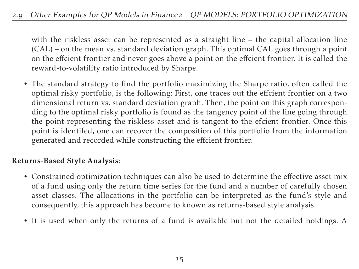#### 2.9 Other Examples for QP Models in Finance2 QP MODELS: PORTFOLIO OPTIMIZATION

with the riskless asset can be represented as a straight line – the capital allocation line (CAL) – on the mean vs. standard deviation graph. This optimal CAL goes through a point on the effcient frontier and never goes above a point on the effcient frontier. It is called the reward-to-volatility ratio introduced by Sharpe.

• The standard strategy to find the portfolio maximizing the Sharpe ratio, often called the optimal risky portfolio, is the following: First, one traces out the effcient frontier on a two dimensional return vs. standard deviation graph. Then, the point on this graph corresponding to the optimal risky portfolio is found as the tangency point of the line going through the point representing the riskless asset and is tangent to the efcient frontier. Once this point is identifed, one can recover the composition of this portfolio from the information generated and recorded while constructing the effcient frontier.

#### Returns-Based Style Analysis:

- Constrained optimization techniques can also be used to determine the effective asset mix of a fund using only the return time series for the fund and a number of carefully chosen asset classes. The allocations in the portfolio can be interpreted as the fund's style and consequently, this approach has become to known as returns-based style analysis.
- It is used when only the returns of a fund is available but not the detailed holdings. A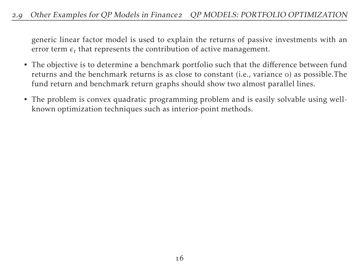#### 2.9 Other Examples for QP Models in Finance2 QP MODELS: PORTFOLIO OPTIMIZATION

generic linear factor model is used to explain the returns of passive investments with an error term  $\epsilon_t$  that represents the contribution of active management.

- The objective is to determine a benchmark portfolio such that the difference between fund returns and the benchmark returns is as close to constant (i.e., variance o) as possible. The fund return and benchmark return graphs should show two almost parallel lines.
- The problem is convex quadratic programming problem and is easily solvable using wellknown optimization techniques such as interior-point methods.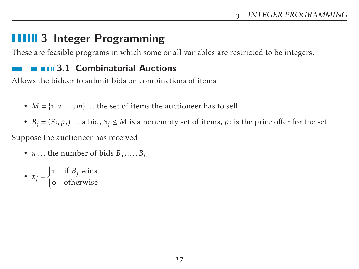# **3 Integer Programming**

These are feasible programs in which some or all variables are restricted to be integers.

### **3.1 Combinatorial Auctions**

Allows the bidder to submit bids on combinations of items

- $M = \{1, 2, \ldots, m\}$ ... the set of items the auctioneer has to sell
- $B_j = (S_j, p_j) \dots$  a bid,  $S_j \leq M$  is a nonempty set of items,  $p_j$  is the price offer for the set

Suppose the auctioneer has received

• *n* ... the number of bids  $B_1$ ,...,  $B_n$ 

• 
$$
x_j = \begin{cases} 1 & \text{if } B_j \text{ wins} \\ 0 & \text{otherwise} \end{cases}
$$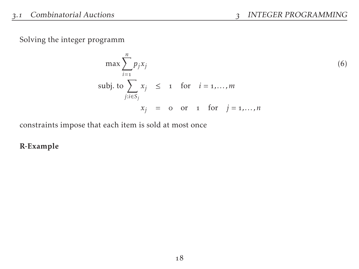Solving the integer programm

$$
\max \sum_{i=1}^{n} p_j x_j
$$
  
\n
$$
\text{subj. to } \sum_{j:i \in S_j} x_j \leq 1 \quad \text{for} \quad i = 1,...,m
$$
  
\n
$$
x_j = 0 \quad \text{or} \quad 1 \quad \text{for} \quad j = 1,...,n
$$

constraints impose that each item is sold at most once

#### R-Example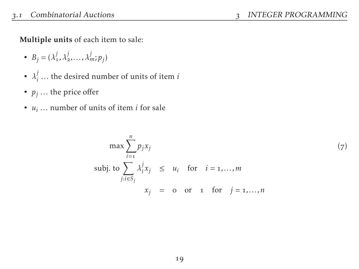Multiple units of each item to sale:

- $B_j = (\lambda_1^j, \lambda_2^j, \dots, \lambda_m^j; p_j)$
- $\lambda_i^j$ *i ...* the desired number of units of item *i*
- $p_j$  ... the price offer
- *u<sup>i</sup> ...* number of units of item *i* for sale

$$
\max \sum_{i=1}^{n} p_j x_j
$$
\n
$$
\text{subj. to } \sum_{j:i \in S_j} \lambda_i^j x_j \le u_i \quad \text{for} \quad i = 1, ..., m
$$
\n
$$
x_j = o \quad \text{or} \quad 1 \quad \text{for} \quad j = 1, ..., n
$$
\n
$$
(7)
$$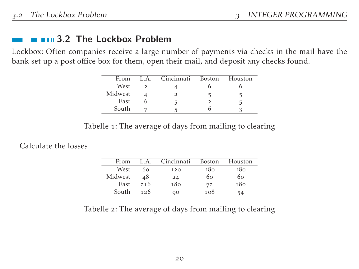### $\blacksquare$   $\blacksquare$  3.2 The Lockbox Problem

Lockbox: Often companies receive a large number of payments via checks in the mail have the bank set up a post office box for them, open their mail, and deposit any checks found.

| From    | L.A. | Cincinnati | Boston | Houston |
|---------|------|------------|--------|---------|
| West    |      |            |        |         |
| Midwest |      |            |        |         |
| East    |      |            |        |         |
| South   |      |            |        |         |

Tabelle 1: The average of days from mailing to clearing

Calculate the losses

| From    | L.A. | Cincinnati | Boston | Houston |
|---------|------|------------|--------|---------|
| West    | 60   | 120        | 180    | 180     |
| Midwest | 48   | 24         | 60     | 60      |
| East    | 216  | 180        | 72     | 180     |
| South   | 126  | ۵O         | 108    |         |

Tabelle 2: The average of days from mailing to clearing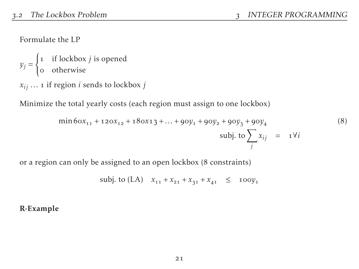Formulate the LP

 $y_j =$  $\left\{\right.$  $\overline{\mathcal{L}}$  if lockbox *j* is opened otherwise  $x_{ij}$   $\dots$  1 if region *i* sends to lockbox *j* 

Minimize the total yearly costs (each region must assign to one lockbox)

$$
\min 60x_{11} + 120x_{12} + 180x13 + ... + 90y_1 + 90y_2 + 90y_3 + 90y_4
$$
\n
$$
\text{subj. to } \sum_j x_{ij} = 1 \forall i
$$
\n(8)

or a region can only be assigned to an open lockbox (8 constraints)

$$
subj. to (LA) \t x11 + x21 + x31 + x41 \le 100y1
$$

R-Example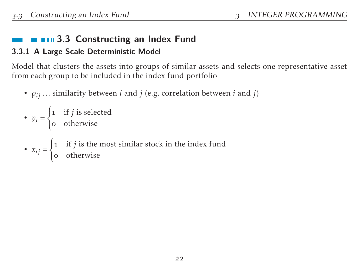### $\blacksquare$   $\blacksquare$  3.3 Constructing an Index Fund

#### **3.3.1 A Large Scale Deterministic Model**

Model that clusters the assets into groups of similar assets and selects one representative asset from each group to be included in the index fund portfolio

• *ρij ...* similarity between *i* and *j* (e.g. correlation between *i* and *j*)

\n- $$
y_j = \begin{cases} \n 1 & \text{if } j \text{ is selected} \\ \n 0 & \text{otherwise} \n \end{cases}
$$
\n- $x_{ij} = \begin{cases} \n 1 & \text{if } j \text{ is the most similar stock in the index fund} \\ \n 0 & \text{otherwise} \n \end{cases}$
\n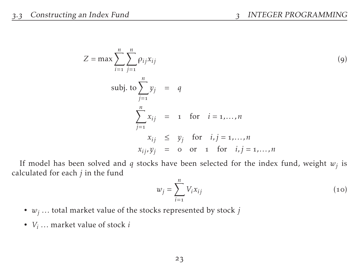$$
Z = \max \sum_{i=1}^{n} \sum_{j=1}^{n} \rho_{ij} x_{ij}
$$
\n
$$
\text{subj. to } \sum_{j=1}^{n} y_j = q
$$
\n
$$
\sum_{j=1}^{n} x_{ij} = 1 \quad \text{for} \quad i = 1, ..., n
$$
\n
$$
x_{ij} \leq y_j \quad \text{for} \quad i, j = 1, ..., n
$$
\n
$$
x_{ij}, y_j = 0 \quad \text{or} \quad 1 \quad \text{for} \quad i, j = 1, ..., n
$$

If model has been solved and *q* stocks have been selected for the index fund, weight *w<sup>j</sup>* is calculated for each *j* in the fund

$$
w_j = \sum_{i=1}^n V_i x_{ij}
$$
 (10)

- *w<sup>j</sup> ...* total market value of the stocks represented by stock *j*
- *V<sup>i</sup> ...* market value of stock *i*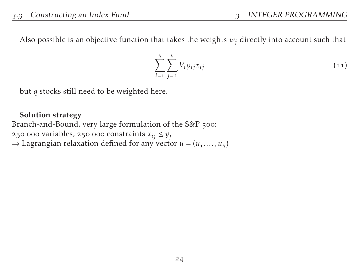Also possible is an objective function that takes the weights  $w_j$  directly into account such that

$$
\sum_{i=1}^{n} \sum_{j=1}^{n} V_i \rho_{ij} x_{ij}
$$
 (11)

but *q* stocks still need to be weighted here.

#### Solution strategy

Branch-and-Bound, very large formulation of the S&P 500: 250 000 variables, 250 000 constraints  $x_{ij} \le y_j$  $\Rightarrow$  Lagrangian relaxation defined for any vector  $u = (u_1, \dots, u_n)$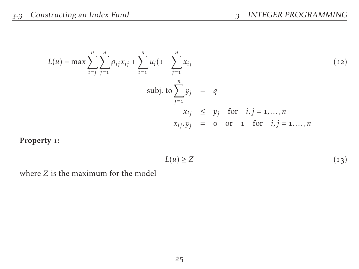$$
L(u) = \max \sum_{i=j}^{n} \sum_{j=1}^{n} \rho_{ij} x_{ij} + \sum_{i=1}^{n} u_i (1 - \sum_{j=1}^{n} x_{ij}
$$
  
\nsubject to 
$$
\sum_{j=1}^{n} y_j = q
$$
  
\n
$$
x_{ij} \le y_j \text{ for } i, j = 1,...,n
$$
  
\n
$$
x_{ij}, y_j = 0 \text{ or } 1 \text{ for } i, j = 1,...,n
$$

Property 1:

$$
L(u) \ge Z \tag{13}
$$

where *Z* is the maximum for the model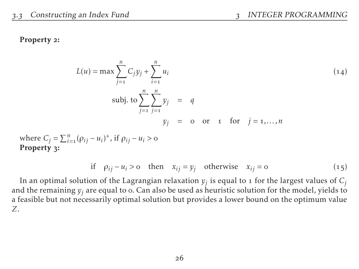#### Property 2:

$$
L(u) = \max \sum_{j=1}^{n} C_j y_j + \sum_{i=1}^{n} u_i
$$
  
subj. to 
$$
\sum_{j=1}^{n} \sum_{j=1}^{n} y_j = q
$$
  

$$
y_j = o \text{ or } 1 \text{ for } j = 1,...,n
$$

where  $C_j = \sum_{i=1}^n (\rho_{ij} - u_i)^+$ , if  $\rho_{ij} - u_i > 0$ Property 3:

if 
$$
\rho_{ij} - u_i > o
$$
 then  $x_{ij} = y_j$  otherwise  $x_{ij} = o$  (15)

In an optimal solution of the Lagrangian relaxation  $y_j$  is equal to 1 for the largest values of  $C_j$ and the remaining  $y_i$  are equal to  $\circ$ . Can also be used as heuristic solution for the model, yields to a feasible but not necessarily optimal solution but provides a lower bound on the optimum value *Z*.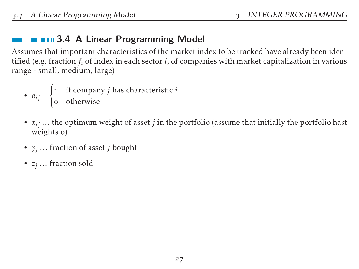### $\blacksquare$   $\blacksquare$  3.4 A Linear Programming Model

Assumes that important characteristics of the market index to be tracked have already been identified (e.g. fraction *f<sup>i</sup>* of index in each sector *i*, of companies with market capitalization in various range - small, medium, large)

• 
$$
a_{ij} = \begin{cases} 1 & \text{if company } j \text{ has characteristic } i \\ 0 & \text{otherwise} \end{cases}
$$

- $x_{ij}$ ... the optimum weight of asset *j* in the portfolio (assume that initially the portfolio hast weights o)
- *y<sup>j</sup> ...* fraction of asset *j* bought
- *z<sup>j</sup> ...* fraction sold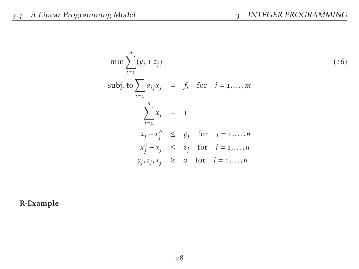$$
\min \sum_{j=1}^{n} (y_j + z_j)
$$
\n
$$
\text{subj. to } \sum_{i=1}^{n} a_{ij}x_j = f_i \quad \text{for} \quad i = 1, \dots, m
$$
\n
$$
\sum_{j=1}^{n} x_j = 1
$$
\n
$$
x_j - x_j^0 \le y_j \quad \text{for} \quad j = 1, \dots, n
$$
\n
$$
x_j^0 - x_j \le z_j \quad \text{for} \quad i = 1, \dots, n
$$
\n
$$
y_j, z_j, x_j \ge 0 \quad \text{for} \quad i = 1, \dots, n
$$

R-Example